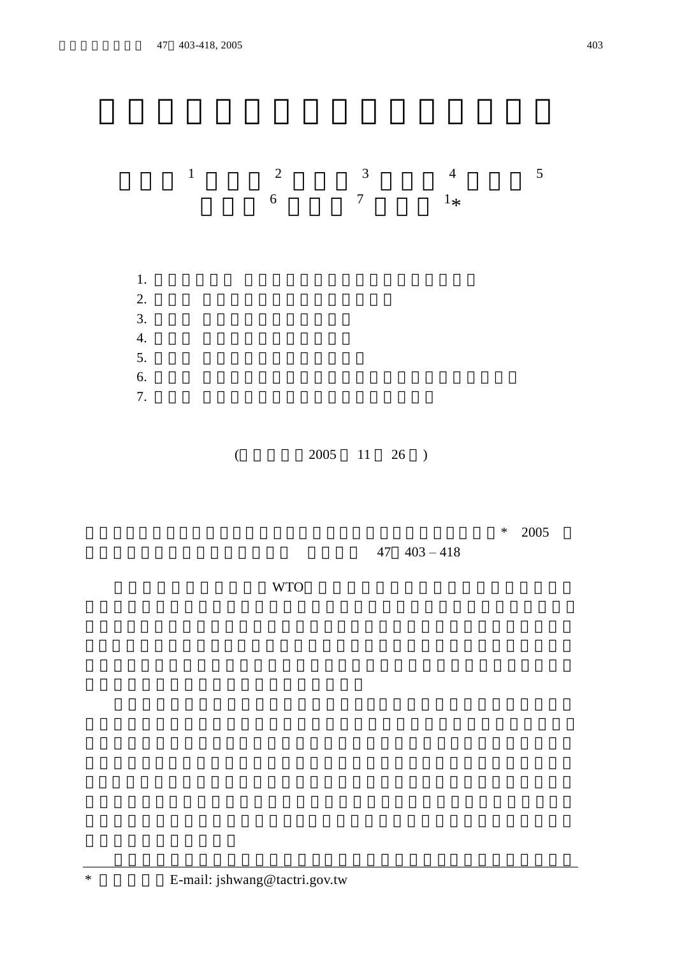



## $($  2005 11 26 )

 $* 2005$ 

 $47 \quad 403 - 418$ 

我國加入世界貿易組織 WTO 國外各種農產食品進口之種類 數量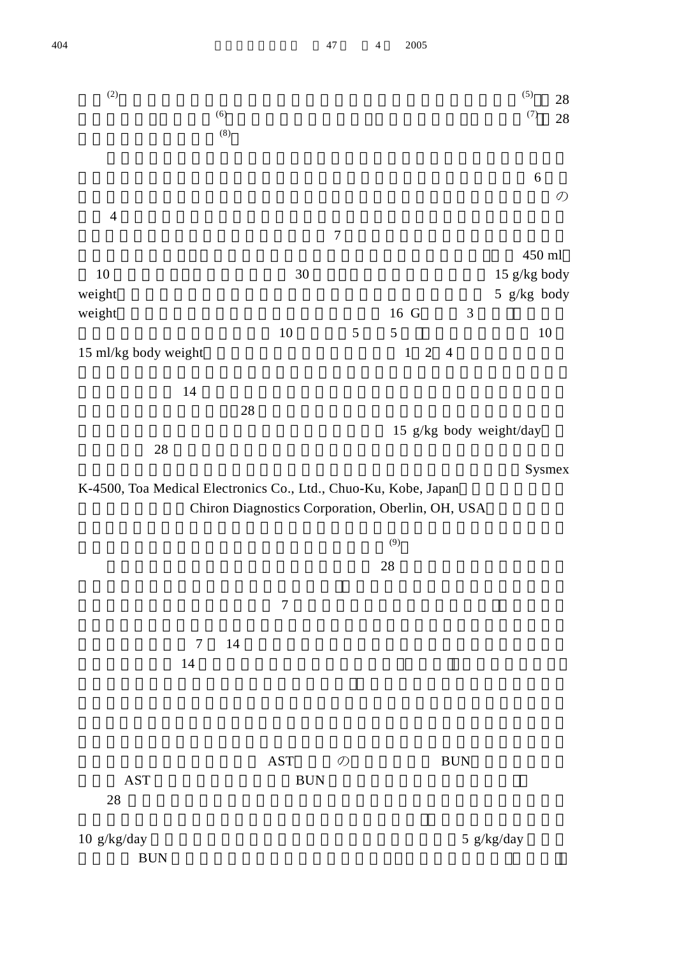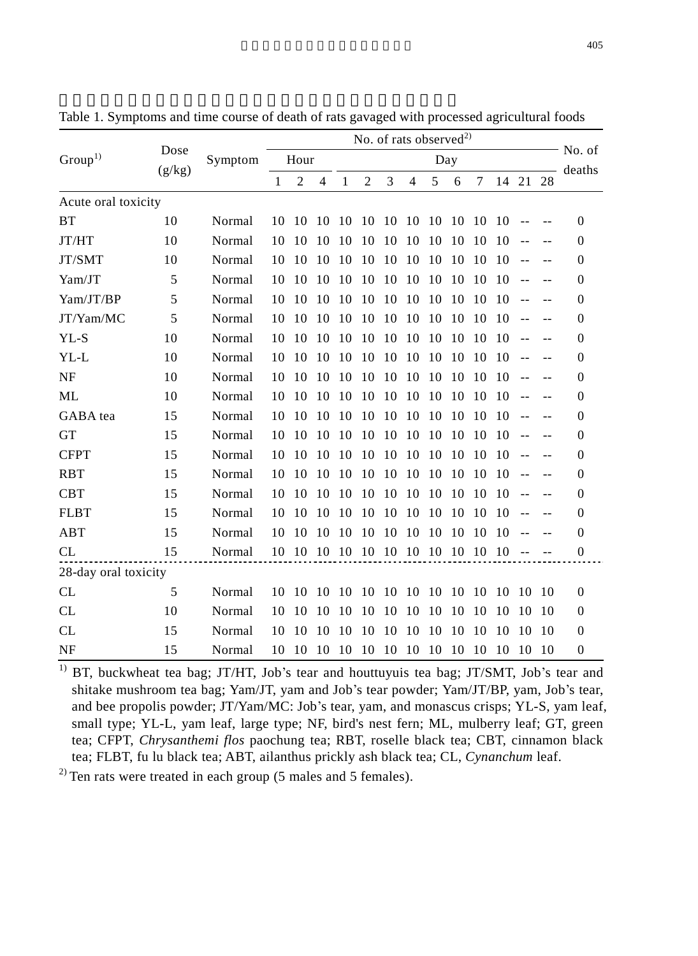|                      |        | Dose    |              | No. of rats observed <sup>2)</sup> |                |     |                |    |                |     |     |     |       |               |        |                  |
|----------------------|--------|---------|--------------|------------------------------------|----------------|-----|----------------|----|----------------|-----|-----|-----|-------|---------------|--------|------------------|
| Group <sup>1</sup>   | (g/kg) | Symptom |              | Hour                               |                |     |                |    |                | Day |     |     |       |               |        | No. of<br>deaths |
|                      |        |         | $\mathbf{1}$ | $\overline{2}$                     | $\overline{4}$ | 1   | $\overline{2}$ | 3  | $\overline{4}$ | 5   | 6   | 7   | 14 21 |               | 28     |                  |
| Acute oral toxicity  |        |         |              |                                    |                |     |                |    |                |     |     |     |       |               |        |                  |
| <b>BT</b>            | 10     | Normal  | 10           | 10                                 | 10             | 10  | 10             | 10 | -10            | 10  | 10  | 10  | 10    |               |        | $\Omega$         |
| JT/HT                | 10     | Normal  | 10           | 10                                 | 10             | 10  | 10             | 10 | 10             | 10  | 10  | 10  | 10    | $-$           |        | $\Omega$         |
| JT/SMT               | 10     | Normal  | 10           | 10                                 | 10             | 10  | 10             | 10 | 10             | 10  | 10  | 10  | 10    |               |        | $\Omega$         |
| Yam/JT               | 5      | Normal  | 10           | 10                                 | 10             | 10  | 10             | 10 | 10             | 10  | 10  | 10  | 10    |               |        | $\Omega$         |
| Yam/JT/BP            | 5      | Normal  | 10           | 10                                 | 10             | 10  | 10             | 10 | 10             | 10  | 10  | 10  | 10    |               |        | $\Omega$         |
| JT/Yam/MC            | 5      | Normal  | 10           | 10                                 | 10             | 10  | 10             | 10 | 10             | 10  | 10  | 10  | 10    | $\sim$ $\sim$ |        | $\Omega$         |
| $YL-S$               | 10     | Normal  | 10           | 10                                 | 10             | 10  | 10             | 10 | 10             | 10  | 10  | 10  | 10    |               |        | $\Omega$         |
| YL-L                 | 10     | Normal  | 10           | 10                                 | 10             | 10  | 10             | 10 | 10             | 10  | 10  | 10  | 10    |               |        | $\Omega$         |
| <b>NF</b>            | 10     | Normal  | 10           | 10                                 | 10             | 10  | 10             | 10 | 10             | 10  | 10  | 10  | 10    |               |        | $\Omega$         |
| ML                   | 10     | Normal  | 10           | 10                                 | 10             | 10  | 10             | 10 | 10             | 10  | 10  | 10  | 10    |               |        | $\Omega$         |
| GABA tea             | 15     | Normal  | 10           | 10                                 | 10             | 10  | 10             | 10 | 10             | 10  | -10 | 10  | 10    |               |        | $\Omega$         |
| <b>GT</b>            | 15     | Normal  | 10           | 10                                 | 10             | 10  | 10             | 10 | 10             | 10  | 10  | 10  | 10    |               |        | $\Omega$         |
| <b>CFPT</b>          | 15     | Normal  | 10           | 10                                 | 10             | 10  | 10             | 10 | 10             | 10  | 10  | 10  | 10    |               |        | $\Omega$         |
| <b>RBT</b>           | 15     | Normal  | 10           | 10                                 | 10             | 10  | 10             | 10 | 10             | 10  | 10  | 10  | 10    | $-$           | $\sim$ | $\Omega$         |
| <b>CBT</b>           | 15     | Normal  | 10           | 10                                 | 10             | 10  | 10             | 10 | 10             | 10  | 10  | 10  | 10    |               |        | $\Omega$         |
| <b>FLBT</b>          | 15     | Normal  | 10           | 10                                 | 10             | 10  | 10             | 10 | 10             | 10  | 10  | 10  | 10    |               |        | $\Omega$         |
| ABT                  | 15     | Normal  | 10           | 10                                 | 10             | 10  | 10             | 10 | 10             | 10  | 10  | 10  | 10    |               |        | $\Omega$         |
| CL                   | 15     | Normal  | 10           | -10                                | -10            | -10 | -10            |    | 10 10 10 10    |     |     | -10 | -10   |               |        | $\mathbf{0}$     |
| 28-day oral toxicity |        |         |              |                                    |                |     |                |    |                |     |     |     |       |               |        |                  |
| CL                   | 5      | Normal  | 10           | 10                                 | 10             | 10  | 10             | 10 | 10             | 10  | -10 | 10  | 10    | 10            | 10     | $\Omega$         |
| CL                   | 10     | Normal  | 10           | 10                                 | 10             | 10  | 10             | 10 | 10             | 10  | 10  | 10  | 10    | 10            | 10     | $\Omega$         |
| <b>CL</b>            | 15     | Normal  | 10           | 10                                 | 10             | 10  | 10             | 10 | 10             | 10  | 10  | 10  | 10    | 10            | 10     | $\Omega$         |
| <b>NF</b>            | 15     | Normal  | 10           | 10                                 | 10             | 10  | 10             | 10 | 10             | 10  | 10  | 10  | 10    | 10            | 10     | $\Omega$         |

Table 1. Symptoms and time course of death of rats gavaged with processed agricultural foods

<sup>1)</sup> BT, buckwheat tea bag; JT/HT, Job's tear and houttuyuis tea bag; JT/SMT, Job's tear and shitake mushroom tea bag; Yam/JT, yam and Job's tear powder; Yam/JT/BP, yam, Job's tear, and bee propolis powder; JT/Yam/MC: Job's tear, yam, and monascus crisps; YL-S, yam leaf, small type; YL-L, yam leaf, large type; NF, bird's nest fern; ML, mulberry leaf; GT, green tea; CFPT, *Chrysanthemi flos* paochung tea; RBT, roselle black tea; CBT, cinnamon black tea; FLBT, fu lu black tea; ABT, ailanthus prickly ash black tea; CL, *Cynanchum* leaf.

 $^{2)}$  Ten rats were treated in each group (5 males and 5 females).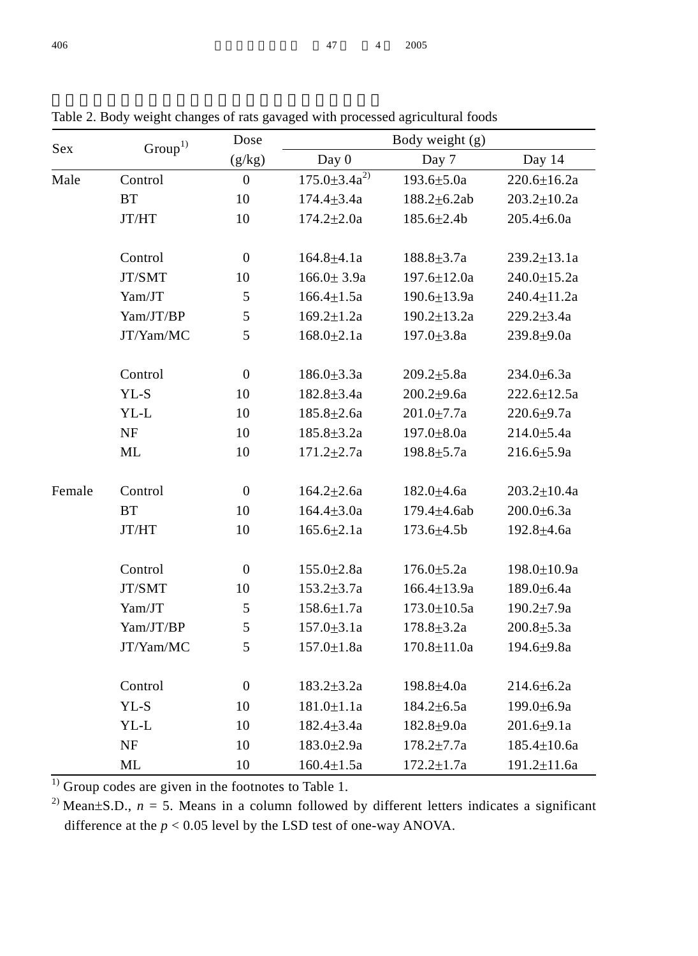|        |                     | Dose             |                      | Body weight (g)   |                   |
|--------|---------------------|------------------|----------------------|-------------------|-------------------|
| Sex    | $\mathrm{Group}^1$  | (g/kg)           | Day 0                | Day 7             | Day 14            |
| Male   | Control             | $\boldsymbol{0}$ | $175.0 \pm 3.4a^{2}$ | $193.6{\pm}5.0a$  | $220.6 \pm 16.2a$ |
|        | BT                  | 10               | $174.4 \pm 3.4a$     | 188.2±6.2ab       | $203.2 \pm 10.2a$ |
|        | JT/HT               | 10               | $174.2 \pm 2.0a$     | $185.6 \pm 2.4b$  | $205.4 \pm 6.0a$  |
|        | Control             | $\boldsymbol{0}$ | $164.8 + 4.1a$       | $188.8 \pm 3.7a$  | $239.2 \pm 13.1a$ |
|        | JT/SMT              | 10               | $166.0 \pm 3.9a$     | $197.6 \pm 12.0a$ | $240.0 \pm 15.2a$ |
|        | Yam/JT              | $\sqrt{5}$       | $166.4 \pm 1.5a$     | $190.6 \pm 13.9a$ | $240.4 \pm 11.2a$ |
|        | Yam/JT/BP           | 5                | $169.2 \pm 1.2a$     | $190.2 \pm 13.2a$ | $229.2 \pm 3.4a$  |
|        | JT/Yam/MC           | 5                | $168.0{\pm}2.1a$     | $197.0 \pm 3.8a$  | 239.8±9.0a        |
|        | Control             | $\boldsymbol{0}$ | $186.0{\pm}3.3a$     | $209.2 \pm 5.8a$  | $234.0 \pm 6.3a$  |
|        | YL-S                | 10               | $182.8 \pm 3.4a$     | $200.2{\pm}9.6a$  | $222.6 \pm 12.5a$ |
|        | YL-L                | 10               | 185.8±2.6a           | $201.0 \pm 7.7a$  | 220.6±9.7a        |
|        | NF                  | 10               | $185.8 \pm 3.2a$     | 197.0±8.0a        | $214.0 \pm 5.4a$  |
|        | ML                  | 10               | $171.2 \pm 2.7a$     | 198.8±5.7a        | $216.6{\pm}5.9a$  |
| Female | Control             | $\boldsymbol{0}$ | $164.2 \pm 2.6a$     | 182.0±4.6a        | $203.2 \pm 10.4a$ |
|        | $\operatorname{BT}$ | 10               | $164.4 \pm 3.0a$     | 179.4±4.6ab       | $200.0 \pm 6.3a$  |
|        | JT/HT               | 10               | $165.6{\pm}2.1a$     | $173.6 \pm 4.5b$  | 192.8±4.6a        |
|        | Control             | $\boldsymbol{0}$ | $155.0 \pm 2.8a$     | $176.0 \pm 5.2a$  | 198.0±10.9a       |
|        | JT/SMT              | 10               | $153.2 \pm 3.7a$     | $166.4 \pm 13.9a$ | $189.0 \pm 6.4a$  |
|        | Yam/JT              | $\sqrt{5}$       | $158.6 \pm 1.7a$     | $173.0 \pm 10.5a$ | $190.2 \pm 7.9a$  |
|        | Yam/JT/BP           | 5                | $157.0 + 3.1a$       | $178.8 + 3.2a$    | $200.8 + 5.3a$    |
|        | JT/Yam/MC           | 5                | $157.0 \pm 1.8a$     | $170.8 \pm 11.0a$ | 194.6±9.8a        |
|        | Control             | $\boldsymbol{0}$ | $183.2 \pm 3.2a$     | $198.8 + 4.0a$    | $214.6 \pm 6.2a$  |
|        | YL-S                | 10               | $181.0 \pm 1.1a$     | $184.2 \pm 6.5a$  | 199.0±6.9a        |
|        | YL-L                | 10               | $182.4 \pm 3.4a$     | $182.8 + 9.0a$    | $201.6 + 9.1a$    |
|        | $\rm NF$            | 10               | $183.0 \pm 2.9a$     | $178.2 \pm 7.7a$  | $185.4 \pm 10.6a$ |
|        | ML                  | 10               | $160.4 \pm 1.5a$     | $172.2 \pm 1.7a$  | 191.2±11.6a       |

Table 2. Body weight changes of rats gavaged with processed agricultural foods

 $\frac{1}{1}$  Group codes are given in the footnotes to Table 1.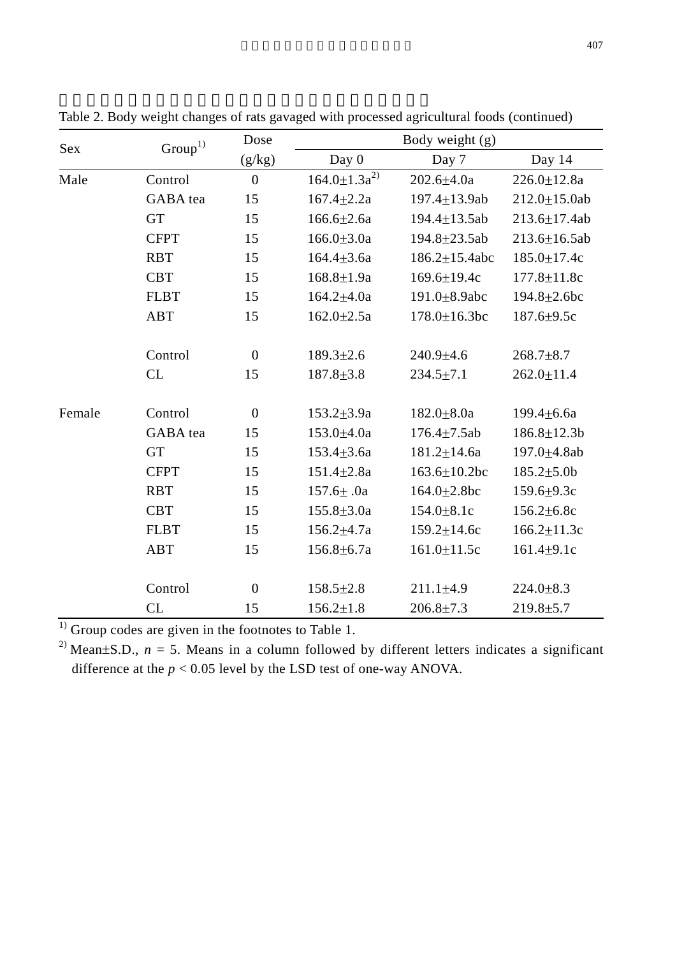| Sex    | $\mathrm{Group}^1$ | Dose         |                      | Body weight (g)      |                     |  |  |  |  |
|--------|--------------------|--------------|----------------------|----------------------|---------------------|--|--|--|--|
|        |                    | (g/kg)       | Day 0                | Day 7                | Day 14              |  |  |  |  |
| Male   | Control            | $\mathbf{0}$ | $164.0 \pm 1.3a^{2}$ | $202.6 + 4.0a$       | $226.0 \pm 12.8a$   |  |  |  |  |
|        | GABA tea           | 15           | $167.4 + 2.2a$       | 197.4±13.9ab         | $212.0 \pm 15.0$ ab |  |  |  |  |
|        | <b>GT</b>          | 15           | $166.6{\pm}2.6a$     | 194.4 $\pm$ 13.5ab   | $213.6 \pm 17.4ab$  |  |  |  |  |
|        | <b>CFPT</b>        | 15           | $166.0 \pm 3.0a$     | 194.8±23.5ab         | $213.6 \pm 16.5ab$  |  |  |  |  |
|        | <b>RBT</b>         | 15           | $164.4 \pm 3.6a$     | $186.2 \pm 15.4$ abc | $185.0 \pm 17.4c$   |  |  |  |  |
|        | <b>CBT</b>         | 15           | $168.8 \pm 1.9a$     | $169.6 \pm 19.4c$    | $177.8 \pm 11.8c$   |  |  |  |  |
|        | <b>FLBT</b>        | 15           | $164.2{\pm}4.0a$     | 191.0 $\pm$ 8.9abc   | $194.8 \pm 2.6$ bc  |  |  |  |  |
|        | ABT                | 15           | $162.0 \pm 2.5a$     | $178.0 \pm 16.3$ bc  | $187.6 \pm 9.5c$    |  |  |  |  |
|        | Control            | $\mathbf{0}$ | $189.3 \pm 2.6$      | $240.9 + 4.6$        | $268.7 + 8.7$       |  |  |  |  |
|        | CL                 | 15           | $187.8 \pm 3.8$      | $234.5 \pm 7.1$      | $262.0 \pm 11.4$    |  |  |  |  |
| Female | Control            | $\mathbf{0}$ | $153.2 \pm 3.9a$     | $182.0 \pm 8.0a$     | $199.4 \pm 6.6a$    |  |  |  |  |
|        | GABA tea           | 15           | 153.0±4.0a           | $176.4 \pm 7.5$ ab   | 186.8±12.3b         |  |  |  |  |
|        | <b>GT</b>          | 15           | $153.4 \pm 3.6a$     | 181.2±14.6a          | 197.0±4.8ab         |  |  |  |  |
|        | <b>CFPT</b>        | 15           | $151.4 \pm 2.8a$     | $163.6 \pm 10.2$ bc  | $185.2{\pm}5.0b$    |  |  |  |  |
|        | <b>RBT</b>         | 15           | $157.6 \pm .0a$      | 164.0±2.8bc          | 159.6±9.3c          |  |  |  |  |
|        | <b>CBT</b>         | 15           | $155.8 \pm 3.0a$     | 154.0±8.1c           | 156.2±6.8c          |  |  |  |  |
|        | <b>FLBT</b>        | 15           | $156.2{\pm}4.7a$     | 159.2±14.6c          | $166.2 \pm 11.3c$   |  |  |  |  |
|        | <b>ABT</b>         | 15           | $156.8 \pm 6.7a$     | $161.0 \pm 11.5c$    | $161.4 + 9.1c$      |  |  |  |  |
|        | Control            | $\mathbf{0}$ | $158.5 \pm 2.8$      | $211.1 \pm 4.9$      | $224.0 \pm 8.3$     |  |  |  |  |
|        | CL                 | 15           | $156.2 \pm 1.8$      | $206.8 + 7.3$        | $219.8 + 5.7$       |  |  |  |  |

Table 2. Body weight changes of rats gavaged with processed agricultural foods (continued)

 $\frac{1}{1}$  Group codes are given in the footnotes to Table 1.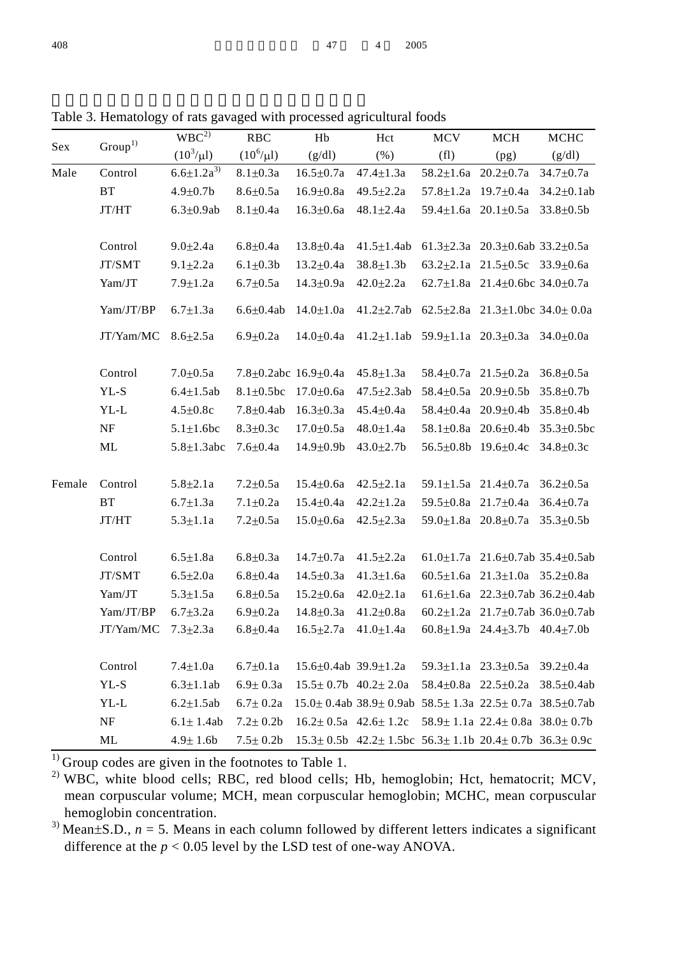|        |                     | WBC <sup>2</sup>   |                       |                                    |                                                                                       |                                 |                                                   |                   |
|--------|---------------------|--------------------|-----------------------|------------------------------------|---------------------------------------------------------------------------------------|---------------------------------|---------------------------------------------------|-------------------|
| Sex    | Group <sup>1</sup>  |                    | RBC<br>$(10^6/\mu l)$ | $\rm Hb$                           | Hct                                                                                   | MCV                             | $\rm MCH$                                         | <b>MCHC</b>       |
|        |                     | $(10^3/\mu l)$     |                       | (g/dl)                             | (% )                                                                                  | (f1)                            | (pg)                                              | (g/dl)            |
| Male   | Control             | $6.6 \pm 1.2a^{3}$ | $8.1 + 0.3a$          | $16.5 \pm 0.7a$                    | $47.4 \pm 1.3a$                                                                       | 58.2 $\pm$ 1.6a 20.2 $\pm$ 0.7a |                                                   | $34.7 \pm 0.7a$   |
|        | BT                  | $4.9 \pm 0.7$ b    | $8.6 \pm 0.5a$        | $16.9 \pm 0.8a$                    | $49.5 \pm 2.2a$                                                                       | $57.8 \pm 1.2a$ 19.7 $\pm$ 0.4a |                                                   | $34.2 \pm 0.1$ ab |
|        | JT/HT               | $6.3 \pm 0.9$ ab   | $8.1 + 0.4a$          | $16.3 + 0.6a$                      | $48.1 + 2.4a$                                                                         | 59.4 $\pm$ 1.6a 20.1 $\pm$ 0.5a |                                                   | $33.8 + 0.5b$     |
|        |                     |                    |                       |                                    |                                                                                       |                                 |                                                   |                   |
|        | Control             | $9.0 + 2.4a$       | $6.8{\pm}0.4a$        | $13.8 + 0.4a$                      | $41.5{\pm}1.4{\rm ab}$                                                                |                                 | 61.3±2.3a 20.3±0.6ab 33.2±0.5a                    |                   |
|        | JT/SMT              | $9.1 + 2.2a$       | $6.1 \pm 0.3 b$       | $13.2 \pm 0.4a$                    | $38.8 \pm 1.3b$                                                                       |                                 | 63.2 $\pm$ 2.1a 21.5 $\pm$ 0.5c 33.9 $\pm$ 0.6a   |                   |
|        | Yam/JT              | $7.9 \pm 1.2a$     | $6.7 \pm 0.5a$        | $14.3 \pm 0.9a$                    | $42.0 \pm 2.2a$                                                                       |                                 | 62.7±1.8a 21.4±0.6bc 34.0±0.7a                    |                   |
|        | Yam/JT/BP           | $6.7 \pm 1.3a$     | $6.6 + 0.4ab$         | $14.0 \pm 1.0a$                    | $41.2 \pm 2.7ab$                                                                      |                                 | 62.5 $\pm$ 2.8a 21.3 $\pm$ 1.0bc 34.0 $\pm$ 0.0a  |                   |
|        | $\rm JT/Yam/MC$     | $8.6 + 2.5a$       | $6.9 \pm 0.2a$        | $14.0 \pm 0.4a$                    | $41.2 \pm 1.1$ ab                                                                     |                                 | 59.9±1.1a 20.3±0.3a 34.0±0.0a                     |                   |
|        | Control             | $7.0 \pm 0.5a$     | 7.8±0.2abc 16.9±0.4a  |                                    | $45.8 \pm 1.3a$                                                                       | 58.4 $\pm$ 0.7a 21.5 $\pm$ 0.2a |                                                   | $36.8 \pm 0.5a$   |
|        | YL-S                | $6.4 \pm 1.5$ ab   | $8.1 \pm 0.5$ bc      | $17.0 \pm 0.6a$                    | $47.5 \pm 2.3ab$                                                                      | 58.4 $\pm$ 0.5a 20.9 $\pm$ 0.5b |                                                   | $35.8 + 0.7$      |
|        | $YL-L$              | $4.5 + 0.8c$       | $7.8 + 0.4ab$         | $16.3 \pm 0.3a$                    | $45.4 + 0.4a$                                                                         | 58.4 $\pm$ 0.4a 20.9 $\pm$ 0.4b |                                                   | $35.8 \pm 0.4$    |
|        | $\rm NF$            | $5.1 \pm 1.6$ bc   | $8.3 \pm 0.3c$        | $17.0 \pm 0.5a$                    | $48.0{\pm}1.4a$                                                                       | 58.1 $\pm$ 0.8a 20.6 $\pm$ 0.4b |                                                   | $35.3 \pm 0.5$ bc |
|        | $\rm ML$            | $5.8 \pm 1.3$ abc  | $7.6 + 0.4a$          | $14.9 \pm 0.9$                     | $43.0 \pm 2.7$                                                                        | 56.5±0.8b 19.6±0.4c             |                                                   | $34.8 \pm 0.3c$   |
| Female | Control             | $5.8 + 2.1a$       | $7.2 \pm 0.5a$        | $15.4 \pm 0.6a$                    | $42.5 \pm 2.1a$                                                                       | 59.1 $\pm$ 1.5a 21.4 $\pm$ 0.7a |                                                   | $36.2 \pm 0.5a$   |
|        | $\operatorname{BT}$ | $6.7 \pm 1.3a$     | $7.1 \pm 0.2a$        | $15.4 \pm 0.4a$                    | $42.2 \pm 1.2a$                                                                       | 59.5±0.8a 21.7±0.4a             |                                                   | $36.4 \pm 0.7a$   |
|        | JT/HT               | $5.3 \pm 1.1a$     | $7.2 + 0.5a$          | $15.0 \pm 0.6a$                    | $42.5 \pm 2.3a$                                                                       | 59.0 $\pm$ 1.8a 20.8 $\pm$ 0.7a |                                                   | $35.3 \pm 0.5b$   |
|        |                     |                    |                       |                                    |                                                                                       |                                 |                                                   |                   |
|        | Control             | $6.5 + 1.8a$       | $6.8 + 0.3a$          | $14.7 \pm 0.7a$                    | $41.5 \pm 2.2a$                                                                       |                                 | 61.0 $\pm$ 1.7a 21.6 $\pm$ 0.7ab 35.4 $\pm$ 0.5ab |                   |
|        | JT/SMT              | $6.5 \pm 2.0a$     | $6.8 + 0.4a$          | $14.5 \pm 0.3a$                    | $41.3 \pm 1.6a$                                                                       |                                 | 60.5 $\pm$ 1.6a 21.3 $\pm$ 1.0a 35.2 $\pm$ 0.8a   |                   |
|        | Yam/JT              | $5.3 + 1.5a$       | $6.8 + 0.5a$          | $15.2 + 0.6a$                      | $42.0 \pm 2.1a$                                                                       |                                 | 61.6 $\pm$ 1.6a 22.3 $\pm$ 0.7ab 36.2 $\pm$ 0.4ab |                   |
|        | Yam/JT/BP           | $6.7 \pm 3.2a$     | $6.9 \pm 0.2a$        | $14.8 \pm 0.3a$                    | $41.2 \pm 0.8a$                                                                       |                                 | 60.2 $\pm$ 1.2a 21.7 $\pm$ 0.7ab 36.0 $\pm$ 0.7ab |                   |
|        | $\rm JT/Yam/MC$     | $7.3 \pm 2.3a$     | $6.8 \pm 0.4a$        | $16.5 \pm 2.7a$                    | $41.0 \pm 1.4a$                                                                       |                                 | 60.8 $\pm$ 1.9a 24.4 $\pm$ 3.7b 40.4 $\pm$ 7.0b   |                   |
|        |                     |                    |                       |                                    |                                                                                       |                                 |                                                   |                   |
|        | Control             | $7.4 \pm 1.0a$     | $6.7 \pm 0.1a$        | $15.6 \pm 0.4$ ab 39.9 $\pm 1.2$ a |                                                                                       |                                 | $59.3 \pm 1.1a$ $23.3 \pm 0.5a$                   | 39.2±0.4a         |
|        | YL-S                | $6.3 \pm 1.1$ ab   | $6.9 \pm 0.3a$        | $15.5 \pm 0.7$ b $40.2 \pm 2.0$ a  |                                                                                       | 58.4 $\pm$ 0.8a 22.5 $\pm$ 0.2a |                                                   | $38.5 + 0.4ab$    |
|        | $YL-L$              | $6.2 + 1.5$ ab     | $6.7 \pm 0.2a$        |                                    | $15.0 \pm 0.4$ ab 38.9 $\pm$ 0.9ab                                                    |                                 | $58.5 \pm 1.3a$ 22.5 $\pm$ 0.7a 38.5 $\pm$ 0.7ab  |                   |
|        | $\rm NF$            | $6.1 \pm 1.4$ ab   | $7.2 \pm 0.2 b$       | $16.2 \pm 0.5a$ 42.6 $\pm$ 1.2c    |                                                                                       |                                 | $58.9 \pm 1.1a$ 22.4 $\pm$ 0.8a 38.0 $\pm$ 0.7b   |                   |
|        | ML                  | $4.9 \pm 1.6$ b    | $7.5 \pm 0.2b$        |                                    | $15.3 \pm 0.5$ b $42.2 \pm 1.5$ bc $56.3 \pm 1.1$ b $20.4 \pm 0.7$ b $36.3 \pm 0.9$ c |                                 |                                                   |                   |

Table 3. Hematology of rats gavaged with processed agricultural foods

 $1)$  Group codes are given in the footnotes to Table 1.

<sup>2)</sup> WBC, white blood cells; RBC, red blood cells; Hb, hemoglobin; Hct, hematocrit; MCV, mean corpuscular volume; MCH, mean corpuscular hemoglobin; MCHC, mean corpuscular hemoglobin concentration.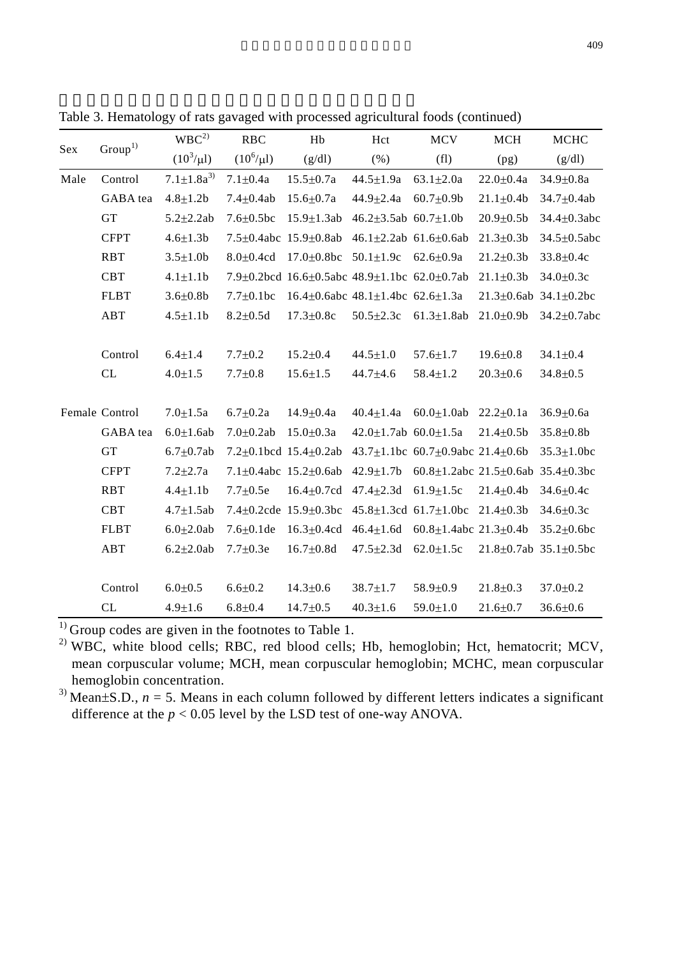| Group <sup>1</sup><br>Sex |                | WBC <sup>2</sup>   | <b>RBC</b>       | Hb                                                                   | Hct                                | <b>MCV</b>                                          | <b>MCH</b>       | <b>MCHC</b>                       |
|---------------------------|----------------|--------------------|------------------|----------------------------------------------------------------------|------------------------------------|-----------------------------------------------------|------------------|-----------------------------------|
|                           |                | $(10^3/\mu l)$     | $(10^6/\mu l)$   | (g/dl)                                                               | (% )                               | (f1)                                                | (pg)             | (g/dl)                            |
| Male                      | Control        | $7.1 \pm 1.8a^{3}$ | $7.1 + 0.4a$     | $15.5 + 0.7a$                                                        | $44.5 + 1.9a$                      | $63.1 + 2.0a$                                       | $22.0 \pm 0.4a$  | $34.9 + 0.8a$                     |
|                           | GABA tea       | $4.8 \pm 1.2 b$    | $7.4 + 0.4ab$    | $15.6 \pm 0.7a$                                                      | $44.9 \pm 2.4a$                    | $60.7 + 0.9$                                        | $21.1 \pm 0.4$   | $34.7 \pm 0.4ab$                  |
|                           | <b>GT</b>      | $5.2 \pm 2.2$ ab   | $7.6 \pm 0.5$ bc | $15.9 \pm 1.3$ ab                                                    | $46.2 \pm 3.5$ ab $60.7 \pm 1.0$ b |                                                     | $20.9 \pm 0.5$   | $34.4 \pm 0.3$ abc                |
|                           | <b>CFPT</b>    | $4.6 \pm 1.3 b$    |                  | 7.5±0.4abc 15.9±0.8ab                                                | 46.1 $\pm$ 2.2ab 61.6 $\pm$ 0.6ab  |                                                     | $21.3 \pm 0.3 b$ | $34.5 \pm 0.5$ abc                |
|                           | <b>RBT</b>     | $3.5 \pm 1.0$      | $8.0 + 0.4$ cd   | $17.0 \pm 0.8$ bc                                                    | $50.1 \pm 1.9c$                    | $62.6 + 0.9a$                                       | $21.2 \pm 0.3$   | $33.8 \pm 0.4c$                   |
|                           | <b>CBT</b>     | $4.1 \pm 1.1$      |                  | 7.9 $\pm$ 0.2bcd 16.6 $\pm$ 0.5abc 48.9 $\pm$ 1.1bc 62.0 $\pm$ 0.7ab |                                    |                                                     | $21.1 \pm 0.3$   | $34.0 \pm 0.3c$                   |
|                           | <b>FLBT</b>    | $3.6 \pm 0.8$      | $7.7 \pm 0.1$ bc | 16.4 $\pm$ 0.6abc 48.1 $\pm$ 1.4bc 62.6 $\pm$ 1.3a                   |                                    |                                                     |                  | $21.3 \pm 0.6ab$ 34.1 $\pm 0.2bc$ |
|                           | ABT            | $4.5 \pm 1.1$      | $8.2 \pm 0.5d$   | $17.3 \pm 0.8c$                                                      | $50.5 \pm 2.3c$                    | $61.3 \pm 1.8$ ab                                   | $21.0 \pm 0.9$   | $34.2 \pm 0.7$ abc                |
|                           |                |                    |                  |                                                                      |                                    |                                                     |                  |                                   |
|                           | Control        | $6.4 \pm 1.4$      | $7.7 + 0.2$      | $15.2 + 0.4$                                                         | $44.5 \pm 1.0$                     | $57.6 \pm 1.7$                                      | $19.6 + 0.8$     | $34.1 + 0.4$                      |
|                           | CL             | $4.0 \pm 1.5$      | $7.7 \pm 0.8$    | $15.6 \pm 1.5$                                                       | $44.7 + 4.6$                       | $58.4 \pm 1.2$                                      | $20.3 \pm 0.6$   | $34.8 + 0.5$                      |
|                           |                |                    |                  |                                                                      |                                    |                                                     |                  |                                   |
|                           | Female Control | $7.0 + 1.5a$       | $6.7 + 0.2a$     | $14.9 + 0.4a$                                                        | $40.4 \pm 1.4a$                    | $60.0 \pm 1.0$ ab                                   | $22.2 + 0.1a$    | $36.9 + 0.6a$                     |
|                           | GABA tea       | $6.0 \pm 1.6$ ab   | $7.0 + 0.2ab$    | $15.0 + 0.3a$                                                        | $42.0 \pm 1.7$ ab $60.0 \pm 1.5$ a |                                                     | $21.4 + 0.5b$    | $35.8 + 0.8b$                     |
|                           | GT             | $6.7 + 0.7$ ab     |                  | $7.2+0.1$ bcd $15.4+0.2$ ab                                          |                                    | 43.7 $\pm$ 1.1bc 60.7 $\pm$ 0.9abc 21.4 $\pm$ 0.6b  |                  | $35.3 \pm 1.0$ bc                 |
|                           | <b>CFPT</b>    | $7.2 \pm 2.7a$     |                  | $7.1+0.4abc$ 15.2+0.6ab                                              | $42.9 + 1.7b$                      | 60.8 $\pm$ 1.2abc 21.5 $\pm$ 0.6ab 35.4 $\pm$ 0.3bc |                  |                                   |
|                           | <b>RBT</b>     | $4.4 \pm 1.1$      | $7.7 + 0.5e$     | $16.4 + 0.7$ cd                                                      | $47.4 \pm 2.3$ d                   | $61.9 \pm 1.5c$                                     | $21.4 + 0.4b$    | $34.6 \pm 0.4c$                   |
|                           | <b>CBT</b>     | $4.7 \pm 1.5$ ab   |                  | 7.4 $\pm$ 0.2cde 15.9 $\pm$ 0.3bc                                    |                                    | $45.8 \pm 1.3$ cd $61.7 \pm 1.0$ bc                 | $21.4 \pm 0.3 b$ | $34.6 \pm 0.3c$                   |
|                           | <b>FLBT</b>    | $6.0 + 2.0$ ab     | $7.6 + 0.1$ de   | $16.3 + 0.4cd$                                                       | $46.4 + 1.6d$                      | $60.8 \pm 1.4$ abc $21.3 \pm 0.4$ b                 |                  | $35.2 \pm 0.6$ bc                 |
|                           | ABT            | $6.2 + 2.0ab$      | $7.7 + 0.3e$     | $16.7 + 0.8d$                                                        | $47.5 + 2.3d$                      | $62.0 \pm 1.5c$                                     |                  | $21.8 + 0.7ab$ 35.1+0.5bc         |
|                           |                |                    |                  |                                                                      |                                    |                                                     |                  |                                   |
|                           | Control        | $6.0 + 0.5$        | $6.6 + 0.2$      | $14.3 + 0.6$                                                         | $38.7 + 1.7$                       | $58.9 + 0.9$                                        | $21.8 + 0.3$     | $37.0 + 0.2$                      |
|                           | CL             | $4.9 \pm 1.6$      | $6.8 + 0.4$      | $14.7 \pm 0.5$                                                       | $40.3 \pm 1.6$                     | $59.0 \pm 1.0$                                      | $21.6 + 0.7$     | $36.6 \pm 0.6$                    |

Table 3. Hematology of rats gavaged with processed agricultural foods (continued)

 $<sup>1)</sup>$  Group codes are given in the footnotes to Table 1.</sup>

<sup>2)</sup> WBC, white blood cells; RBC, red blood cells; Hb, hemoglobin; Hct, hematocrit; MCV, mean corpuscular volume; MCH, mean corpuscular hemoglobin; MCHC, mean corpuscular hemoglobin concentration.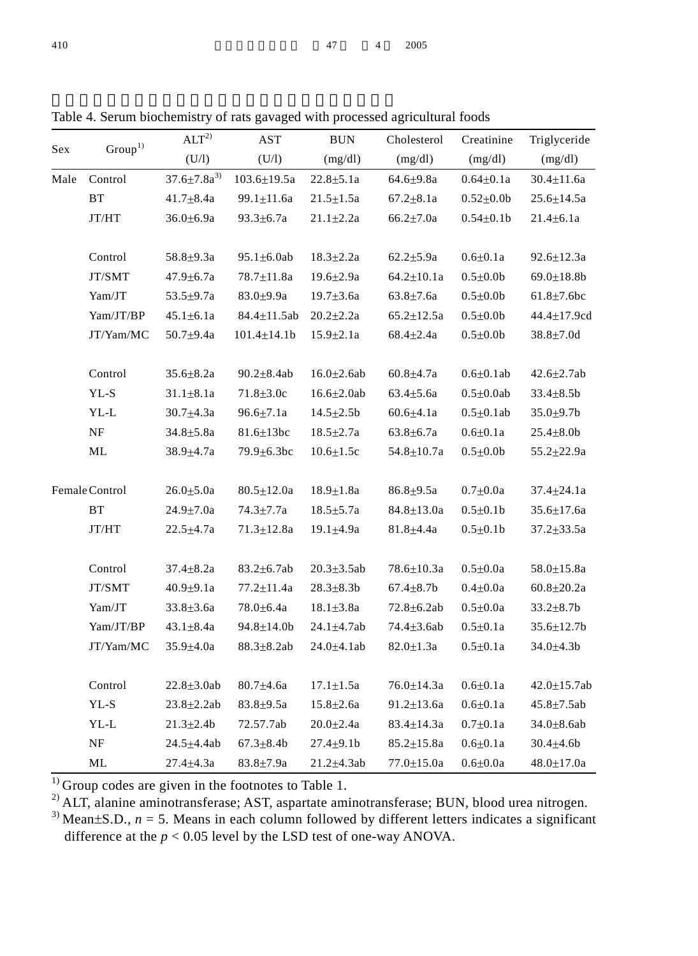| Sex  | Group <sup>1</sup>  | ALT <sup>2</sup>       | AST                | $\rm BUN$         | Cholesterol            | Creatinine       | Triglyceride       |
|------|---------------------|------------------------|--------------------|-------------------|------------------------|------------------|--------------------|
|      |                     | (U/1)                  | (U/I)              | (mg/dl)           | (mg/dl)                | (mg/dl)          | (mg/dl)            |
| Male | Control             | $37.6 \pm 7.8a^{3}$    | $103.6 \pm 19.5a$  | $22.8 + 5.1a$     | $64.6 + 9.8a$          | $0.64 \pm 0.1a$  | $30.4 \pm 11.6a$   |
|      | $\operatorname{BT}$ | $41.7 \pm 8.4a$        | $99.1 \pm 11.6a$   | $21.5 \pm 1.5a$   | $67.2 \pm 8.1a$        | $0.52{\pm}0.0b$  | $25.6 \pm 14.5a$   |
|      | JT/HT               | $36.0 \pm 6.9a$        | $93.3 \pm 6.7a$    | $21.1 \pm 2.2a$   | $66.2{\pm}7.0a$        | $0.54 \pm 0.1$   | $21.4 \pm 6.1a$    |
|      | Control             | $58.8 + 9.3a$          | $95.1 \pm 6.0$ ab  | $18.3 \pm 2.2a$   | $62.2 \pm 5.9a$        | $0.6 \pm 0.1a$   | $92.6 \pm 12.3a$   |
|      | JT/SMT              | $47.9 \pm 6.7a$        | 78.7±11.8a         | $19.6{\pm}2.9a$   | $64.2 \pm 10.1a$       | $0.5 \pm 0.0$    | $69.0 \pm 18.8$    |
|      | Yam/JT              | $53.5 \pm 9.7a$        | $83.0{\pm}9.9a$    | $19.7 \pm 3.6a$   | $63.8 \pm 7.6a$        | $0.5 \pm 0.0$    | $61.8 \pm 7.6$ bc  |
|      | Yam/JT/BP           | $45.1 \pm 6.1a$        | $84.4 \pm 11.5$ ab | $20.2 \pm 2.2a$   | $65.2 \pm 12.5a$       | $0.5 \pm 0.0$    | 44.4±17.9cd        |
|      | JT/Yam/MC           | $50.7 + 9.4a$          | $101.4 \pm 14.1$   | $15.9 \pm 2.1a$   | $68.4 \pm 2.4a$        | $0.5 \pm 0.0$    | $38.8 \pm 7.0d$    |
|      | Control             | $35.6 \pm 8.2a$        | $90.2 \pm 8.4ab$   | $16.0{\pm}2.6ab$  | $60.8 + 4.7a$          | $0.6 \pm 0.1$ ab | $42.6 + 2.7ab$     |
|      | YL-S                | $31.1 \pm 8.1a$        | $71.8 \pm 3.0c$    | $16.6{\pm}2.0ab$  | $63.4 \pm 5.6a$        | $0.5 \pm 0.0$ ab | $33.4 \pm 8.5b$    |
|      | $YL-L$              | $30.7 \pm 4.3a$        | $96.6 \pm 7.1a$    | $14.5 \pm 2.5b$   | $60.6{\pm}4.1a$        | $0.5 \pm 0.1$ ab | $35.0 + 9.7$       |
|      | $\rm{NF}$           | $34.8 + 5.8a$          | $81.6 \pm 13$ bc   | $18.5 \pm 2.7a$   | $63.8 \pm 6.7a$        | $0.6 \pm 0.1a$   | $25.4 + 8.0$       |
|      | ML                  | 38.9 <sup>+4</sup> .7a | 79.9 $\pm$ 6.3bc   | $10.6 \pm 1.5c$   | 54.8±10.7a             | $0.5 \pm 0.0$    | 55.2±22.9a         |
|      | Female Control      | $26.0 \pm 5.0a$        | $80.5 \pm 12.0a$   | $18.9 \pm 1.8a$   | $86.8 + 9.5a$          | $0.7 + 0.0a$     | $37.4 \pm 24.1a$   |
|      | $\operatorname{BT}$ | $24.9 \pm 7.0a$        | $74.3 \pm 7.7a$    | $18.5 \pm 5.7a$   | $84.8 \pm 13.0a$       | $0.5 + 0.1$      | $35.6 \pm 17.6a$   |
|      | JT/HT               | $22.5 \pm 4.7a$        | $71.3 \pm 12.8a$   | $19.1 \pm 4.9a$   | 81.8 <sup>+4</sup> .4a | $0.5 \pm 0.1$    | $37.2 \pm 33.5a$   |
|      | Control             | $37.4 + 8.2a$          | $83.2 \pm 6.7ab$   | $20.3 \pm 3.5$ ab | 78.6±10.3a             | $0.5 \pm 0.0a$   | $58.0 \pm 15.8a$   |
|      | JT/SMT              | $40.9 + 9.1a$          | $77.2 \pm 11.4a$   | $28.3 + 8.3b$     | $67.4 + 8.7$           | $0.4 + 0.0a$     | $60.8{\pm}20.2a$   |
|      | Yam/JT              | $33.8 \pm 3.6a$        | 78.0 $\pm$ 6.4a    | $18.1 \pm 3.8a$   | $72.8 \pm 6.2ab$       | $0.5 \pm 0.0a$   | $33.2 \pm 8.7$     |
|      | Yam/JT/BP           | $43.1 + 8.4a$          | $94.8 \pm 14.0$    | $24.1 + 4.7ab$    | $74.4 \pm 3.6ab$       | $0.5 + 0.1a$     | $35.6 \pm 12.7$ b  |
|      | JT/Yam/MC           | $35.9 \pm 4.0a$        | $88.3 \pm 8.2ab$   | $24.0 \pm 4.1$ ab | $82.0 \pm 1.3a$        | $0.5 \pm 0.1a$   | 34.0±4.3b          |
|      | Control             | $22.8 \pm 3.0$ ab      | $80.7 \pm 4.6a$    | $17.1 \pm 1.5a$   | $76.0 \pm 14.3a$       | $0.6 \pm 0.1a$   | $42.0 \pm 15.7$ ab |
|      | YL-S                | $23.8 \pm 2.2ab$       | $83.8 + 9.5a$      | $15.8 + 2.6a$     | $91.2 \pm 13.6a$       | $0.6 + 0.1a$     | $45.8 \pm 7.5ab$   |
|      | $YL-L$              | $21.3 \pm 2.4$         | 72.57.7ab          | $20.0 \pm 2.4a$   | $83.4 \pm 14.3a$       | $0.7 + 0.1a$     | $34.0 \pm 8.6$ ab  |
|      | $\rm{NF}$           | $24.5 + 4.4ab$         | $67.3 \pm 8.4$     | $27.4 + 9.1$      | $85.2 \pm 15.8a$       | $0.6 + 0.1a$     | $30.4 \pm 4.6 b$   |
|      | ML                  | $27.4 \pm 4.3a$        | $83.8 + 7.9a$      | 21.2±4.3ab        | 77.0±15.0a             | $0.6 \pm 0.0a$   | $48.0 \pm 17.0a$   |

Table 4. Serum biochemistry of rats gavaged with processed agricultural foods

 $1)$  Group codes are given in the footnotes to Table 1.

 $^{2)}$  ALT, alanine aminotransferase; AST, aspartate aminotransferase; BUN, blood urea nitrogen.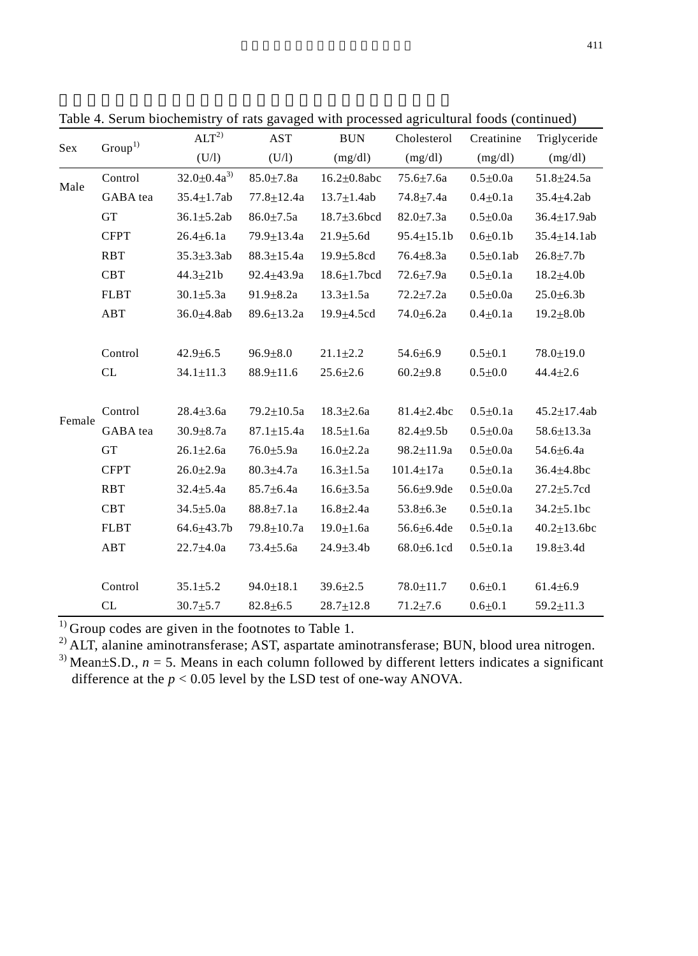|        | $\mathrm{Group}^1$ | ALT <sup>2</sup>    | AST              | <b>BUN</b>         | Cholesterol       | Creatinine      | Triglyceride       |
|--------|--------------------|---------------------|------------------|--------------------|-------------------|-----------------|--------------------|
| Sex    |                    | (U/1)               | (U/1)            | (mg/dl)            | (mg/dl)           | (mg/dl)         | (mg/dl)            |
|        | Control            | $32.0 \pm 0.4a^{3}$ | $85.0 \pm 7.8a$  | $16.2\pm0.8abc$    | $75.6{\pm}7.6a$   | $0.5 \pm 0.0a$  | $51.8 + 24.5a$     |
| Male   | GABA tea           | $35.4 + 1.7ab$      | $77.8 + 12.4a$   | $13.7 \pm 1.4ab$   | $74.8 + 7.4a$     | $0.4 + 0.1a$    | $35.4 + 4.2ab$     |
|        | <b>GT</b>          | $36.1 + 5.2ab$      | $86.0 + 7.5a$    | $18.7 + 3.6$ bcd   | $82.0 \pm 7.3a$   | $0.5 + 0.0a$    | $36.4 \pm 17.9$ ab |
|        | <b>CFPT</b>        | $26.4 \pm 6.1a$     | 79.9±13.4a       | $21.9 + 5.6d$      | $95.4 \pm 15.1$ b | $0.6 \pm 0.1$   | $35.4 \pm 14.1$ ab |
|        | <b>RBT</b>         | $35.3 + 3.3ab$      | $88.3 \pm 15.4a$ | $19.9 + 5.8$ cd    | $76.4 + 8.3a$     | $0.5 + 0.1$ ab  | $26.8 + 7.7b$      |
|        | <b>CBT</b>         | $44.3 + 21b$        | $92.4 + 43.9a$   | $18.6 \pm 1.7$ bcd | $72.6{\pm}7.9a$   | $0.5 + 0.1a$    | $18.2{\pm}4.0b$    |
|        | <b>FLBT</b>        | $30.1 + 5.3a$       | $91.9 \pm 8.2a$  | $13.3 \pm 1.5a$    | $72.2 + 7.2a$     | $0.5 \pm 0.0a$  | $25.0 \pm 6.3 b$   |
|        | ABT                | $36.0 \pm 4.8$ ab   | $89.6 \pm 13.2a$ | $19.9 \pm 4.5$ cd  | $74.0 \pm 6.2a$   | $0.4 \pm 0.1 a$ | $19.2 \pm 8.0$     |
|        |                    |                     |                  |                    |                   |                 |                    |
|        | Control            | $42.9 + 6.5$        | $96.9 + 8.0$     | $21.1 + 2.2$       | $54.6 \pm 6.9$    | $0.5 + 0.1$     | $78.0 + 19.0$      |
|        | CL                 | $34.1 \pm 11.3$     | $88.9 \pm 11.6$  | $25.6 \pm 2.6$     | $60.2 + 9.8$      | $0.5 \pm 0.0$   | $44.4 \pm 2.6$     |
|        |                    |                     |                  |                    |                   |                 |                    |
| Female | Control            | $28.4 \pm 3.6a$     | $79.2 \pm 10.5a$ | $18.3 \pm 2.6a$    | $81.4 + 2.4$ bc   | $0.5 \pm 0.1a$  | $45.2 + 17.4$ ab   |
|        | GABA tea           | $30.9 \pm 8.7a$     | $87.1 \pm 15.4a$ | $18.5 \pm 1.6a$    | $82.4 + 9.5b$     | $0.5 \pm 0.0a$  | $58.6 \pm 13.3a$   |
|        | <b>GT</b>          | $26.1 \pm 2.6a$     | $76.0 + 5.9a$    | $16.0{\pm}2.2a$    | $98.2 + 11.9a$    | $0.5 + 0.0a$    | $54.6 + 6.4a$      |
|        | <b>CFPT</b>        | $26.0 \pm 2.9a$     | $80.3 \pm 4.7a$  | $16.3 \pm 1.5a$    | $101.4 + 17a$     | $0.5 \pm 0.1a$  | $36.4 \pm 4.8$ bc  |
|        | RBT                | $32.4 \pm 5.4a$     | $85.7 \pm 6.4a$  | $16.6 \pm 3.5a$    | 56.6 $\pm$ 9.9de  | $0.5 \pm 0.0a$  | $27.2 \pm 5.7$ cd  |
|        | <b>CBT</b>         | $34.5 \pm 5.0a$     | $88.8 \pm 7.1a$  | $16.8 + 2.4a$      | $53.8 + 6.3e$     | $0.5 \pm 0.1a$  | $34.2 \pm 5.1$ bc  |
|        | <b>FLBT</b>        | $64.6{\pm}43.7b$    | $79.8 + 10.7a$   | $19.0 \pm 1.6a$    | $56.6 \pm 6.4$ de | $0.5 \pm 0.1a$  | $40.2 \pm 13.6$ bc |
|        | ABT                | $22.7 + 4.0a$       | $73.4 \pm 5.6a$  | $24.9 \pm 3.4 b$   | $68.0 \pm 6.1$ cd | $0.5 \pm 0.1a$  | $19.8 \pm 3.4$ d   |
|        |                    |                     |                  |                    |                   |                 |                    |
|        | Control            | $35.1 \pm 5.2$      | $94.0 \pm 18.1$  | $39.6 \pm 2.5$     | $78.0 \pm 11.7$   | $0.6 + 0.1$     | $61.4 \pm 6.9$     |
|        | CL                 | $30.7 + 5.7$        | $82.8 + 6.5$     | $28.7 + 12.8$      | $71.2 + 7.6$      | $0.6 + 0.1$     | $59.2 \pm 11.3$    |

Table 4. Serum biochemistry of rats gavaged with processed agricultural foods (continued)

 $\overline{1}$ ) Group codes are given in the footnotes to Table 1.

<sup>2)</sup> ALT, alanine aminotransferase; AST, aspartate aminotransferase; BUN, blood urea nitrogen.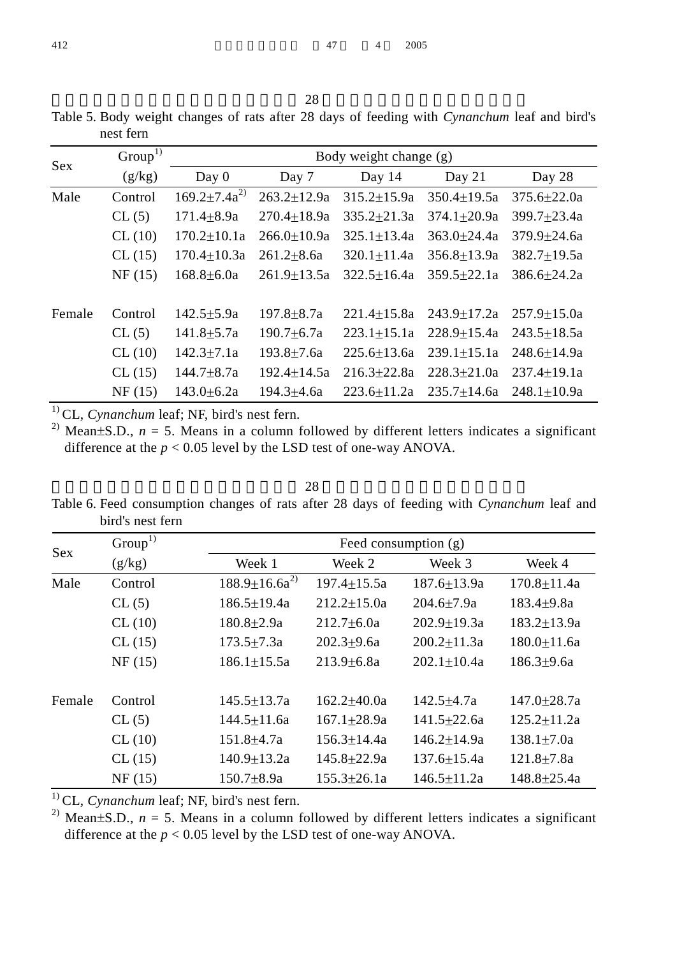|           |  |  |  |  | Table 5. Body weight changes of rats after 28 days of feeding with Cynanchum leaf and bird's |  |  |
|-----------|--|--|--|--|----------------------------------------------------------------------------------------------|--|--|
| nest fern |  |  |  |  |                                                                                              |  |  |

| Sex    | Group <sup>1</sup> |                      |                   | Body weight change (g) |                 |                   |
|--------|--------------------|----------------------|-------------------|------------------------|-----------------|-------------------|
|        | (g/kg)             | Day 0                | Day 7             | Day 14                 | Day 21          | Day 28            |
| Male   | Control            | $169.2 \pm 7.4a^{2}$ | $263.2 \pm 12.9a$ | $315.2 + 15.9a$        | $350.4+19.5a$   | $375.6 + 22.0a$   |
|        | CL(5)              | $171.4 + 8.9a$       | $270.4+18.9a$     | $335.2 + 21.3a$        | $374.1 + 20.9a$ | $399.7 \pm 23.4a$ |
|        | CL(10)             | $170.2 \pm 10.1a$    | $266.0 + 10.9a$   | $325.1 + 13.4a$        | $363.0 + 24.4a$ | $379.9 + 24.6a$   |
|        | CL(15)             | $170.4 + 10.3a$      | $261.2 + 8.6a$    | $320.1 + 11.4a$        | $356.8 + 13.9a$ | $382.7 + 19.5a$   |
|        | NF(15)             | $168.8 + 6.0a$       | $261.9+13.5a$     | $322.5 + 16.4a$        | $359.5 + 22.1a$ | $386.6 + 24.2a$   |
| Female | Control            | $142.5 + 5.9a$       | $197.8 + 8.7a$    | $221.4 + 15.8a$        | $243.9 + 17.2a$ | $257.9 + 15.0a$   |
|        | CL(5)              | $141.8 \pm 5.7a$     | $190.7 \pm 6.7a$  | $223.1 + 15.1a$        | $228.9 + 15.4a$ | $243.5 + 18.5a$   |
|        | CL(10)             | $142.3 + 7.1a$       | $193.8 + 7.6a$    | $225.6 + 13.6a$        | $239.1 + 15.1a$ | 248.6+14.9a       |
|        | CL(15)             | $144.7 + 8.7a$       | $192.4 + 14.5a$   | $216.3 + 22.8a$        | $228.3 + 21.0a$ | $237.4 + 19.1a$   |
|        | NF(15)             | $143.0 \pm 6.2a$     | $194.3 + 4.6a$    | $223.6 + 11.2a$        | $235.7 + 14.6a$ | $248.1 + 10.9a$   |

<sup>1)</sup> CL, *Cynanchum* leaf; NF, bird's nest fern.

<sup>2)</sup> Mean $\pm$ S.D., *n* = 5. Means in a column followed by different letters indicates a significant difference at the  $p < 0.05$  level by the LSD test of one-way ANOVA.

 $28$ Table 6. Feed consumption changes of rats after 28 days of feeding with *Cynanchum* leaf and bird's nest fern

| <b>Sex</b> | Group <sup>1</sup> |                       |                   | Feed consumption (g) |                   |
|------------|--------------------|-----------------------|-------------------|----------------------|-------------------|
|            | (g/kg)             | Week 1                | Week 2            | Week 3               | Week 4            |
| Male       | Control            | $188.9 \pm 16.6a^{2}$ | $197.4 \pm 15.5a$ | $187.6 \pm 13.9a$    | $170.8 \pm 11.4a$ |
|            | CL(5)              | $186.5 \pm 19.4a$     | $212.2 \pm 15.0a$ | $204.6 + 7.9a$       | $183.4 + 9.8a$    |
|            | CL(10)             | $180.8 + 2.9a$        | $212.7 + 6.0a$    | $202.9 + 19.3a$      | $183.2 \pm 13.9a$ |
|            | CL(15)             | $173.5 \pm 7.3a$      | $202.3 + 9.6a$    | $200.2 + 11.3a$      | $180.0 \pm 11.6a$ |
|            | NF(15)             | $186.1 + 15.5a$       | $213.9 + 6.8a$    | $202.1 + 10.4a$      | $186.3 + 9.6a$    |
| Female     | Control            | $145.5 + 13.7a$       | $162.2 + 40.0a$   | $142.5 + 4.7a$       | $147.0 + 28.7a$   |
|            | CL(5)              | $144.5 \pm 11.6a$     | $167.1 + 28.9a$   | $141.5 \pm 22.6a$    | $125.2 \pm 11.2a$ |
|            | CL(10)             | $151.8 + 4.7a$        | $156.3 \pm 14.4a$ | $146.2 + 14.9a$      | $138.1 + 7.0a$    |
|            | CL(15)             | $140.9 \pm 13.2a$     | $145.8 \pm 22.9a$ | $137.6 + 15.4a$      | $121.8 \pm 7.8a$  |
|            | NF(15)             | $150.7 + 8.9a$        | $155.3 \pm 26.1a$ | $146.5 \pm 11.2a$    | $148.8 \pm 25.4a$ |

<sup>1)</sup> CL, *Cynanchum* leaf; NF, bird's nest fern.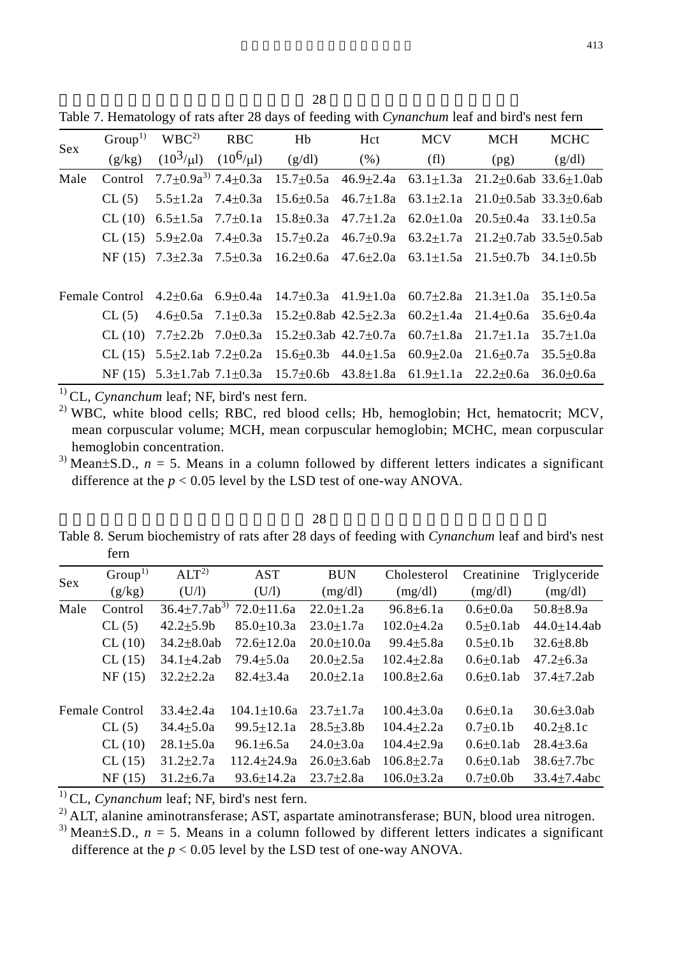$28$ 

Table 7. Hematology of rats after 28 days of feeding with *Cynanchum* leaf and bird's nest fern

| Sex  |        | $Group1) WBC2) RBC$ | Hb                                           | Hct | <b>MCV</b>        | <b>MCH</b>                                                                                                     | <b>MCHC</b> |
|------|--------|---------------------|----------------------------------------------|-----|-------------------|----------------------------------------------------------------------------------------------------------------|-------------|
|      | (g/kg) |                     | $(10^3/\mu l)$ $(10^6/\mu l)$ $(g/dl)$ $(%)$ |     | (f <sub>l</sub> ) | (pg)                                                                                                           | (g/dl)      |
| Male |        |                     |                                              |     |                   | Control $7.7\pm0.9a^{3}$ $7.4\pm0.3a$ $15.7\pm0.5a$ $46.9\pm2.4a$ $63.1\pm1.3a$ $21.2\pm0.6ab$ $33.6\pm1.0ab$  |             |
|      | CL(5)  |                     |                                              |     |                   | $5.5\pm1.2a$ $7.4\pm0.3a$ $15.6\pm0.5a$ $46.7\pm1.8a$ $63.1\pm2.1a$ $21.0\pm0.5ab$ $33.3\pm0.6ab$              |             |
|      |        |                     |                                              |     |                   | CL (10) $6.5\pm1.5a$ 7.7+0.1a $15.8\pm0.3a$ 47.7+1.2a $62.0\pm1.0a$ 20.5+0.4a 33.1+0.5a                        |             |
|      |        |                     |                                              |     |                   | CL (15) 5.9+2.0a 7.4+0.3a 15.7+0.2a 46.7+0.9a 63.2+1.7a 21.2+0.7ab 33.5+0.5ab                                  |             |
|      |        |                     |                                              |     |                   | NF (15) $7.3\pm2.3a$ $7.5\pm0.3a$ $16.2\pm0.6a$ $47.6\pm2.0a$ $63.1\pm1.5a$ $21.5\pm0.7b$ $34.1\pm0.5b$        |             |
|      |        |                     |                                              |     |                   |                                                                                                                |             |
|      |        |                     |                                              |     |                   | Female Control 4.2±0.6a 6.9±0.4a 14.7±0.3a 41.9±1.0a 60.7±2.8a 21.3±1.0a 35.1±0.5a                             |             |
|      |        |                     |                                              |     |                   | CL (5) $4.6\pm0.5a$ $7.1\pm0.3a$ $15.2\pm0.8ab$ $42.5\pm2.3a$ $60.2\pm1.4a$ $21.4\pm0.6a$ $35.6\pm0.4a$        |             |
|      |        |                     |                                              |     |                   | CL (10) $7.7\pm2.2b$ $7.0\pm0.3a$ $15.2\pm0.3ab$ $42.7\pm0.7a$ $60.7\pm1.8a$ $21.7\pm1.1a$ $35.7\pm1.0a$       |             |
|      |        |                     |                                              |     |                   | CL (15) $5.5\pm2.1ab$ 7.2 $\pm0.2a$ 15.6 $\pm0.3b$ 44.0 $\pm1.5a$ 60.9 $\pm2.0a$ 21.6 $\pm0.7a$ 35.5 $\pm0.8a$ |             |
|      |        |                     |                                              |     |                   | NF (15) $5.3\pm1.7ab$ 7.1 $\pm0.3a$ 15.7 $\pm0.6b$ 43.8 $\pm1.8a$ 61.9 $\pm1.1a$ 22.2 $\pm0.6a$ 36.0 $\pm0.6a$ |             |

<sup>1)</sup> CL, *Cynanchum* leaf: NF, bird's nest fern.

 $^{2)}$  WBC, white blood cells; RBC, red blood cells; Hb, hemoglobin; Hct, hematocrit; MCV, mean corpuscular volume; MCH, mean corpuscular hemoglobin; MCHC, mean corpuscular hemoglobin concentration.

<sup>3)</sup> Mean $\pm$ S.D., *n* = 5. Means in a column followed by different letters indicates a significant difference at the  $p < 0.05$  level by the LSD test of one-way ANOVA.

Table 8. Serum biochemistry of rats after 28 days of feeding with *Cynanchum* leaf and bird's nest fern

 $\sim$  28

| <b>Sex</b> | Group <sup>1</sup> | ALT <sup>2</sup>                | <b>AST</b>        | <b>BUN</b>      | Cholesterol      | Creatinine       | Triglyceride       |
|------------|--------------------|---------------------------------|-------------------|-----------------|------------------|------------------|--------------------|
|            | (g/kg)             | (U/1)                           | (U/1)             | (mg/dl)         | (mg/dl)          | (mg/dl)          | (mg/dl)            |
| Male       | Control            | $36.4 \pm 7.7$ ab <sup>3)</sup> | $72.0 + 11.6a$    | $22.0 \pm 1.2a$ | $96.8 \pm 6.1a$  | $0.6 \pm 0.0a$   | $50.8 + 8.9a$      |
|            | CL(5)              | $42.2 + 5.9b$                   | $85.0 + 10.3a$    | $23.0 + 1.7a$   | $102.0 + 4.2a$   | $0.5 + 0.1$ ab   | $44.0 + 14.4ab$    |
|            | CL(10)             | $34.2 + 8.0ab$                  | $72.6 + 12.0a$    | $20.0 + 10.0a$  | $99.4 + 5.8a$    | $0.5 + 0.1b$     | $32.6 + 8.8b$      |
|            | CL(15)             | $34.1 \pm 4.2$ ab               | $79.4 \pm 5.0a$   | $20.0 \pm 2.5a$ | $102.4 \pm 2.8a$ | $0.6 \pm 0.1$ ab | $47.2 \pm 6.3a$    |
|            | NF(15)             | $32.2 \pm 2.2a$                 | $82.4 + 3.4a$     | $20.0 \pm 2.1a$ | $100.8 + 2.6a$   | $0.6 + 0.1$ ab   | $37.4 + 7.2ab$     |
|            | Female Control     | $33.4 \pm 2.4a$                 | $104.1 \pm 10.6a$ | $23.7 + 1.7a$   | $100.4 + 3.0a$   | $0.6 + 0.1a$     | $30.6 + 3.0ab$     |
|            | CL(5)              | $34.4 \pm 5.0a$                 | $99.5 \pm 12.1a$  | $28.5 + 3.8b$   | $104.4 + 2.2a$   | $0.7 \pm 0.1$    | $40.2 \pm 8.1c$    |
|            | CL(10)             | $28.1 \pm 5.0a$                 | $96.1 \pm 6.5a$   | $24.0 + 3.0a$   | $104.4 + 2.9a$   | $0.6 + 0.1$ ab   | $28.4 \pm 3.6a$    |
|            | CL(15)             | $31.2 + 2.7a$                   | $112.4 \pm 24.9a$ | $26.0 + 3.6ab$  | $106.8 + 2.7a$   | $0.6 + 0.1$ ab   | $38.6 \pm 7.7$ bc  |
|            | NF(15)             | $31.2 + 6.7a$                   | $93.6 + 14.2a$    | $23.7 \pm 2.8a$ | $106.0 + 3.2a$   | $0.7+0.0b$       | $33.4 \pm 7.4$ abc |

<sup>1)</sup> CL, *Cynanchum* leaf; NF, bird's nest fern.

<sup>2)</sup> ALT, alanine aminotransferase; AST, aspartate aminotransferase; BUN, blood urea nitrogen.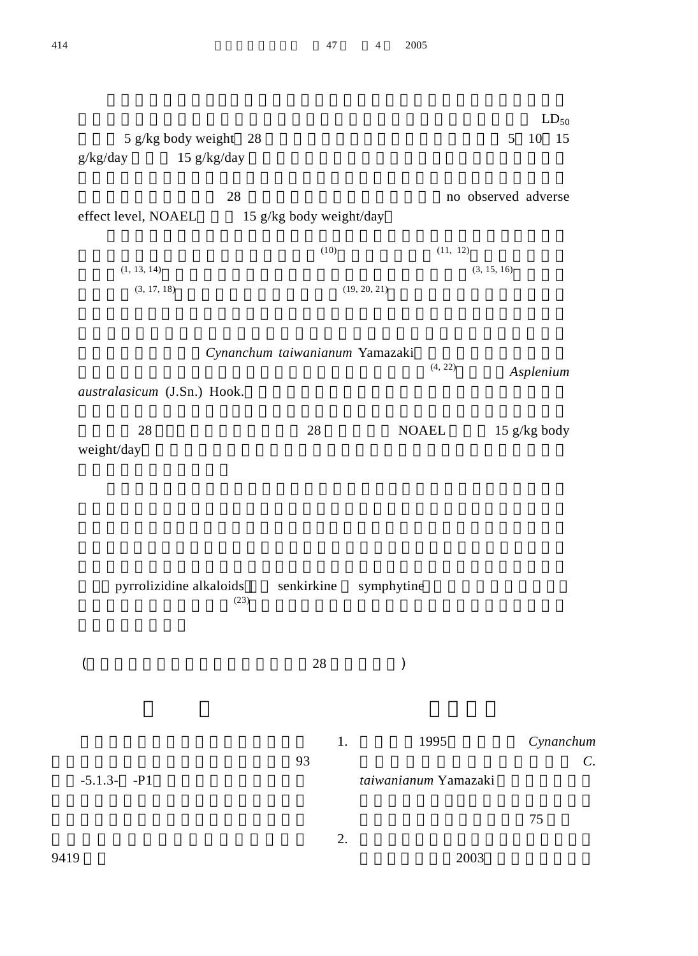|                             |                                |                         |                      |                     |          | $LD_{50}$      |  |  |
|-----------------------------|--------------------------------|-------------------------|----------------------|---------------------|----------|----------------|--|--|
| 5 g/kg body weight 28       |                                |                         |                      |                     | 5        | 10 15          |  |  |
| $g/kg/day$ 15 $g/kg/day$    |                                |                         |                      |                     |          |                |  |  |
|                             |                                |                         |                      |                     |          |                |  |  |
| 28                          |                                |                         |                      | no observed adverse |          |                |  |  |
| effect level, NOAEL         |                                | 15 g/kg body weight/day |                      |                     |          |                |  |  |
|                             |                                |                         |                      |                     |          |                |  |  |
|                             |                                | (10)                    |                      |                     | (11, 12) |                |  |  |
| (1, 13, 14)                 |                                |                         |                      | (3, 15, 16)         |          |                |  |  |
| (3, 17, 18)                 |                                |                         | (19, 20, 21)         |                     |          |                |  |  |
|                             | Cynanchum taiwanianum Yamazaki |                         |                      |                     |          |                |  |  |
|                             |                                |                         |                      | (4, 22)             |          | Asplenium      |  |  |
| australasicum (J.Sn.) Hook. |                                |                         |                      |                     |          |                |  |  |
| 28                          |                                | 28                      |                      | <b>NOAEL</b>        |          | 15 $g/kg$ body |  |  |
| weight/day                  |                                |                         |                      |                     |          |                |  |  |
|                             |                                |                         |                      |                     |          |                |  |  |
|                             |                                |                         |                      |                     |          |                |  |  |
|                             |                                |                         |                      |                     |          |                |  |  |
|                             |                                |                         |                      |                     |          |                |  |  |
| pyrrolizidine alkaloids     |                                | senkirkine              | symphytine           |                     |          |                |  |  |
|                             | (23)                           |                         |                      |                     |          |                |  |  |
|                             |                                |                         |                      |                     |          |                |  |  |
| $\overline{(}$              |                                | 28                      | $\mathcal{E}$        |                     |          |                |  |  |
|                             |                                |                         |                      |                     |          |                |  |  |
|                             |                                |                         |                      |                     |          |                |  |  |
|                             |                                | 1.                      |                      | 1995                |          | Cynanchum      |  |  |
| $-5.1.3 - P1$               |                                | 93                      | taiwanianum Yamazaki |                     |          | C.             |  |  |
|                             |                                |                         |                      |                     |          |                |  |  |
|                             |                                |                         |                      |                     |          | 75             |  |  |
|                             |                                | 2.                      |                      |                     |          |                |  |  |
| 9419                        |                                |                         |                      |                     | 2003     |                |  |  |
|                             |                                |                         |                      |                     |          |                |  |  |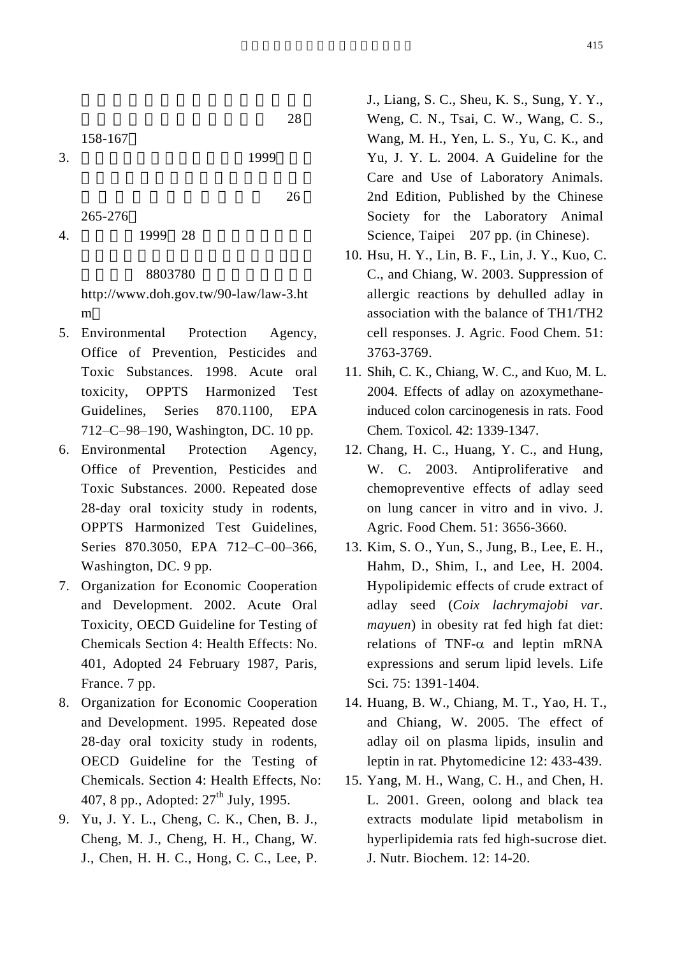158-167

 $3. 1999$ 

 $26$ 265-276

4. 1999 28

## 8803780

http://www.doh.gov.tw/90-law/law-3.ht m

 $28$ 

- 5. Environmental Protection Agency, Office of Prevention, Pesticides and Toxic Substances. 1998. Acute oral toxicity, OPPTS Harmonized Test Guidelines, Series 870.1100, EPA 712–C–98–190, Washington, DC. 10 pp.
- 6. Environmental Protection Agency, Office of Prevention, Pesticides and Toxic Substances. 2000. Repeated dose 28-day oral toxicity study in rodents, OPPTS Harmonized Test Guidelines, Series 870.3050, EPA 712–C–00–366, Washington, DC. 9 pp.
- 7. Organization for Economic Cooperation and Development. 2002. Acute Oral Toxicity, OECD Guideline for Testing of Chemicals Section 4: Health Effects: No. 401, Adopted 24 February 1987, Paris, France. 7 pp.
- 8. Organization for Economic Cooperation and Development. 1995. Repeated dose 28-day oral toxicity study in rodents, OECD Guideline for the Testing of Chemicals*.* Section 4: Health Effects, No: 407, 8 pp., Adopted:  $27<sup>th</sup>$  July, 1995.
- 9. Yu, J. Y. L., Cheng, C. K., Chen, B. J., Cheng, M. J., Cheng, H. H., Chang, W. J., Chen, H. H. C., Hong, C. C., Lee, P.

J., Liang, S. C., Sheu, K. S., Sung, Y. Y., Weng, C. N., Tsai, C. W., Wang, C. S., Wang, M. H., Yen, L. S., Yu, C. K., and Yu, J. Y. L. 2004. A Guideline for the Care and Use of Laboratory Animals. 2nd Edition, Published by the Chinese Society for the Laboratory Animal Science, Taipei 207 pp. (in Chinese).

- 10. Hsu, H. Y., Lin, B. F., Lin, J. Y., Kuo, C. C., and Chiang, W. 2003. Suppression of allergic reactions by dehulled adlay in association with the balance of TH1/TH2 cell responses. J. Agric. Food Chem. 51: 3763-3769.
- 11. Shih, C. K., Chiang, W. C., and Kuo, M. L. 2004. Effects of adlay on azoxymethaneinduced colon carcinogenesis in rats. Food Chem. Toxicol. 42: 1339-1347.
- 12. Chang, H. C., Huang, Y. C., and Hung, W. C. 2003. Antiproliferative and chemopreventive effects of adlay seed on lung cancer in vitro and in vivo. J. Agric. Food Chem. 51: 3656-3660.
- 13. Kim, S. O., Yun, S., Jung, B., Lee, E. H., Hahm, D., Shim, I., and Lee, H. 2004. Hypolipidemic effects of crude extract of adlay seed (*Coix lachrymajobi var. mayuen*) in obesity rat fed high fat diet: relations of TNF- $\alpha$  and leptin mRNA expressions and serum lipid levels. Life Sci. 75: 1391-1404.
- 14. Huang, B. W., Chiang, M. T., Yao, H. T., and Chiang, W. 2005. The effect of adlay oil on plasma lipids, insulin and leptin in rat. Phytomedicine 12: 433-439.
- 15. Yang, M. H., Wang, C. H., and Chen, H. L. 2001. Green, oolong and black tea extracts modulate lipid metabolism in hyperlipidemia rats fed high-sucrose diet. J. Nutr. Biochem. 12: 14-20.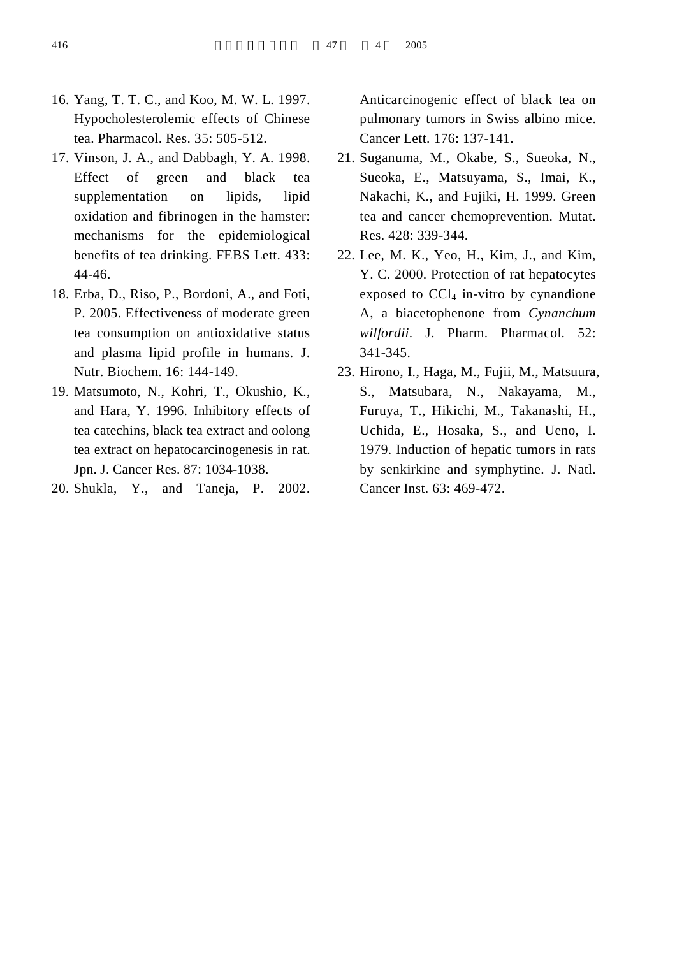- 16. Yang, T. T. C., and Koo, M. W. L. 1997. Hypocholesterolemic effects of Chinese tea. Pharmacol. Res. 35: 505-512.
- 17. Vinson, J. A., and Dabbagh, Y. A. 1998. Effect of green and black tea supplementation on lipids, lipid oxidation and fibrinogen in the hamster: mechanisms for the epidemiological benefits of tea drinking. FEBS Lett. 433: 44-46.
- 18. Erba, D., Riso, P., Bordoni, A., and Foti, P. 2005. Effectiveness of moderate green tea consumption on antioxidative status and plasma lipid profile in humans. J. Nutr. Biochem. 16: 144-149.
- 19. Matsumoto, N., Kohri, T., Okushio, K., and Hara, Y. 1996. Inhibitory effects of tea catechins, black tea extract and oolong tea extract on hepatocarcinogenesis in rat. Jpn. J. Cancer Res. 87: 1034-1038.
- 20. Shukla, Y., and Taneja, P. 2002.

Anticarcinogenic effect of black tea on pulmonary tumors in Swiss albino mice. Cancer Lett. 176: 137-141.

- 21. Suganuma, M., Okabe, S., Sueoka, N., Sueoka, E., Matsuyama, S., Imai, K., Nakachi, K., and Fujiki, H. 1999. Green tea and cancer chemoprevention. Mutat. Res. 428: 339-344.
- 22. Lee, M. K., Yeo, H., Kim, J., and Kim, Y. C. 2000. Protection of rat hepatocytes exposed to  $CCl<sub>4</sub>$  in-vitro by cynandione A, a biacetophenone from *Cynanchum wilfordii*. J. Pharm. Pharmacol. 52: 341-345.
- 23. Hirono, I., Haga, M., Fujii, M., Matsuura, S., Matsubara, N., Nakayama, M., Furuya, T., Hikichi, M., Takanashi, H., Uchida, E., Hosaka, S., and Ueno, I. 1979. Induction of hepatic tumors in rats by senkirkine and symphytine. J. Natl. Cancer Inst. 63: 469-472.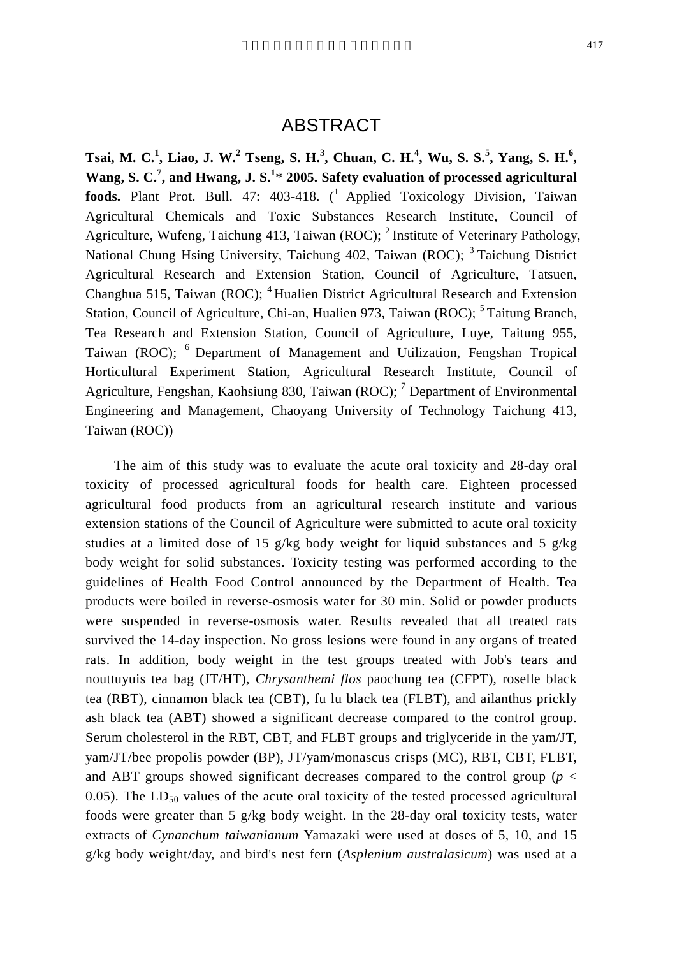## ABSTRACT

**Tsai, M. C.<sup>1</sup> , Liao, J. W.<sup>2</sup> Tseng, S. H.<sup>3</sup> , Chuan, C. H.<sup>4</sup> , Wu, S. S.<sup>5</sup> , Yang, S. H.<sup>6</sup> , Wang, S. C.<sup>7</sup> , and Hwang, J. S.<sup>1</sup>** \* **2005. Safety evaluation of processed agricultural foods.** Plant Prot. Bull. 47: 403-418. (<sup>1</sup> Applied Toxicology Division, Taiwan Agricultural Chemicals and Toxic Substances Research Institute, Council of Agriculture, Wufeng, Taichung 413, Taiwan (ROC);  $^2$  Institute of Veterinary Pathology, National Chung Hsing University, Taichung 402, Taiwan (ROC); <sup>3</sup>Taichung District Agricultural Research and Extension Station, Council of Agriculture, Tatsuen, Changhua 515, Taiwan (ROC); <sup>4</sup> Hualien District Agricultural Research and Extension Station, Council of Agriculture, Chi-an, Hualien 973, Taiwan (ROC); <sup>5</sup>Taitung Branch, Tea Research and Extension Station, Council of Agriculture, Luye, Taitung 955, Taiwan (ROC); <sup>6</sup> Department of Management and Utilization, Fengshan Tropical Horticultural Experiment Station, Agricultural Research Institute, Council of Agriculture, Fengshan, Kaohsiung 830, Taiwan (ROC);  $^7$  Department of Environmental Engineering and Management, Chaoyang University of Technology Taichung 413, Taiwan (ROC))

The aim of this study was to evaluate the acute oral toxicity and 28-day oral toxicity of processed agricultural foods for health care. Eighteen processed agricultural food products from an agricultural research institute and various extension stations of the Council of Agriculture were submitted to acute oral toxicity studies at a limited dose of 15 g/kg body weight for liquid substances and 5 g/kg body weight for solid substances. Toxicity testing was performed according to the guidelines of Health Food Control announced by the Department of Health. Tea products were boiled in reverse-osmosis water for 30 min. Solid or powder products were suspended in reverse-osmosis water. Results revealed that all treated rats survived the 14-day inspection. No gross lesions were found in any organs of treated rats. In addition, body weight in the test groups treated with Job's tears and nouttuyuis tea bag (JT/HT), *Chrysanthemi flos* paochung tea (CFPT), roselle black tea (RBT), cinnamon black tea (CBT), fu lu black tea (FLBT), and ailanthus prickly ash black tea (ABT) showed a significant decrease compared to the control group. Serum cholesterol in the RBT, CBT, and FLBT groups and triglyceride in the yam/JT, yam/JT/bee propolis powder (BP), JT/yam/monascus crisps (MC), RBT, CBT, FLBT, and ABT groups showed significant decreases compared to the control group ( $p <$ 0.05). The  $LD_{50}$  values of the acute oral toxicity of the tested processed agricultural foods were greater than 5 g/kg body weight. In the 28-day oral toxicity tests, water extracts of *Cynanchum taiwanianum* Yamazaki were used at doses of 5, 10, and 15 g/kg body weight/day, and bird's nest fern (*Asplenium australasicum*) was used at a